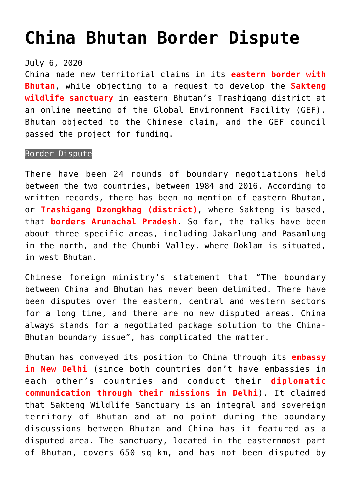## **[China Bhutan Border Dispute](https://journalsofindia.com/china-bhutan-border-dispute/)**

## July 6, 2020

China made new territorial claims in its **eastern border with Bhutan**, while objecting to a request to develop the **Sakteng wildlife sanctuary** in eastern Bhutan's Trashigang district at an online meeting of the Global Environment Facility (GEF). Bhutan objected to the Chinese claim, and the GEF council passed the project for funding.

## Border Dispute

There have been 24 rounds of boundary negotiations held between the two countries, between 1984 and 2016. According to written records, there has been no mention of eastern Bhutan, or **Trashigang Dzongkhag (district)**, where Sakteng is based, that **borders Arunachal Pradesh**. So far, the talks have been about three specific areas, including Jakarlung and Pasamlung in the north, and the Chumbi Valley, where Doklam is situated, in west Bhutan.

Chinese foreign ministry's statement that "The boundary between China and Bhutan has never been delimited. There have been disputes over the eastern, central and western sectors for a long time, and there are no new disputed areas. China always stands for a negotiated package solution to the China-Bhutan boundary issue", has complicated the matter.

Bhutan has conveyed its position to China through its **embassy in New Delhi** (since both countries don't have embassies in each other's countries and conduct their **diplomatic communication through their missions in Delhi**). It claimed that Sakteng Wildlife Sanctuary is an integral and sovereign territory of Bhutan and at no point during the boundary discussions between Bhutan and China has it featured as a disputed area. The sanctuary, located in the easternmost part of Bhutan, covers 650 sq km, and has not been disputed by